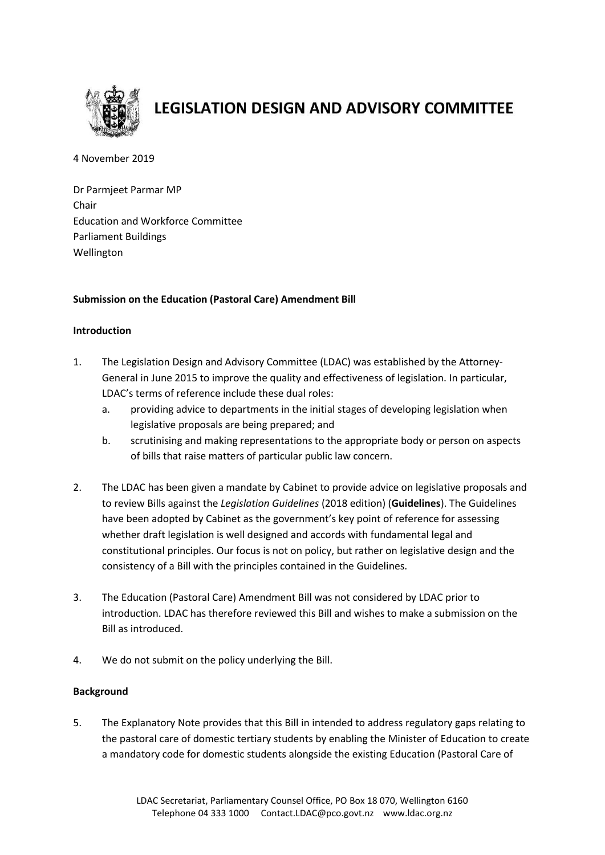

# **LEGISLATION DESIGN AND ADVISORY COMMITTEE**

4 November 2019

Dr Parmjeet Parmar MP Chair Education and Workforce Committee Parliament Buildings Wellington

### **Submission on the Education (Pastoral Care) Amendment Bill**

### **Introduction**

- 1. The Legislation Design and Advisory Committee (LDAC) was established by the Attorney-General in June 2015 to improve the quality and effectiveness of legislation. In particular, LDAC's terms of reference include these dual roles:
	- a. providing advice to departments in the initial stages of developing legislation when legislative proposals are being prepared; and
	- b. scrutinising and making representations to the appropriate body or person on aspects of bills that raise matters of particular public law concern.
- 2. The LDAC has been given a mandate by Cabinet to provide advice on legislative proposals and to review Bills against the *Legislation Guidelines* (2018 edition) (**Guidelines**). The Guidelines have been adopted by Cabinet as the government's key point of reference for assessing whether draft legislation is well designed and accords with fundamental legal and constitutional principles. Our focus is not on policy, but rather on legislative design and the consistency of a Bill with the principles contained in the Guidelines.
- 3. The Education (Pastoral Care) Amendment Bill was not considered by LDAC prior to introduction. LDAC has therefore reviewed this Bill and wishes to make a submission on the Bill as introduced.
- 4. We do not submit on the policy underlying the Bill.

### **Background**

5. The Explanatory Note provides that this Bill in intended to address regulatory gaps relating to the pastoral care of domestic tertiary students by enabling the Minister of Education to create a mandatory code for domestic students alongside the existing Education (Pastoral Care of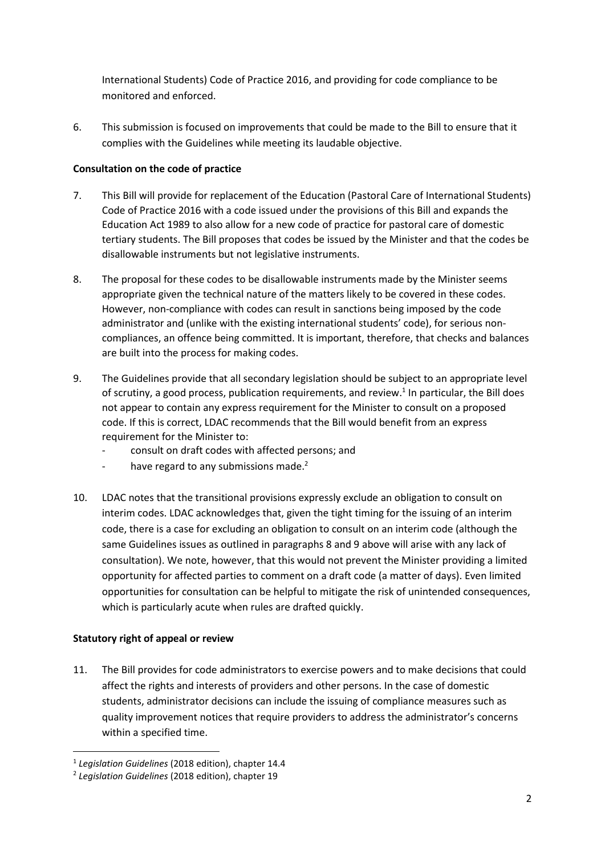International Students) Code of Practice 2016, and providing for code compliance to be monitored and enforced.

6. This submission is focused on improvements that could be made to the Bill to ensure that it complies with the Guidelines while meeting its laudable objective.

## **Consultation on the code of practice**

- 7. This Bill will provide for replacement of the Education (Pastoral Care of International Students) Code of Practice 2016 with a code issued under the provisions of this Bill and expands the Education Act 1989 to also allow for a new code of practice for pastoral care of domestic tertiary students. The Bill proposes that codes be issued by the Minister and that the codes be disallowable instruments but not legislative instruments.
- 8. The proposal for these codes to be disallowable instruments made by the Minister seems appropriate given the technical nature of the matters likely to be covered in these codes. However, non-compliance with codes can result in sanctions being imposed by the code administrator and (unlike with the existing international students' code), for serious noncompliances, an offence being committed. It is important, therefore, that checks and balances are built into the process for making codes.
- 9. The Guidelines provide that all secondary legislation should be subject to an appropriate level of scrutiny, a good process, publication requirements, and review.<sup>1</sup> In particular, the Bill does not appear to contain any express requirement for the Minister to consult on a proposed code. If this is correct, LDAC recommends that the Bill would benefit from an express requirement for the Minister to:
	- consult on draft codes with affected persons; and
	- have regard to any submissions made. $2$
- 10. LDAC notes that the transitional provisions expressly exclude an obligation to consult on interim codes. LDAC acknowledges that, given the tight timing for the issuing of an interim code, there is a case for excluding an obligation to consult on an interim code (although the same Guidelines issues as outlined in paragraphs 8 and 9 above will arise with any lack of consultation). We note, however, that this would not prevent the Minister providing a limited opportunity for affected parties to comment on a draft code (a matter of days). Even limited opportunities for consultation can be helpful to mitigate the risk of unintended consequences, which is particularly acute when rules are drafted quickly.

### **Statutory right of appeal or review**

1

11. The Bill provides for code administrators to exercise powers and to make decisions that could affect the rights and interests of providers and other persons. In the case of domestic students, administrator decisions can include the issuing of compliance measures such as quality improvement notices that require providers to address the administrator's concerns within a specified time.

<sup>1</sup> *Legislation Guidelines* (2018 edition), chapter 14.4

<sup>2</sup> *Legislation Guidelines* (2018 edition), chapter 19